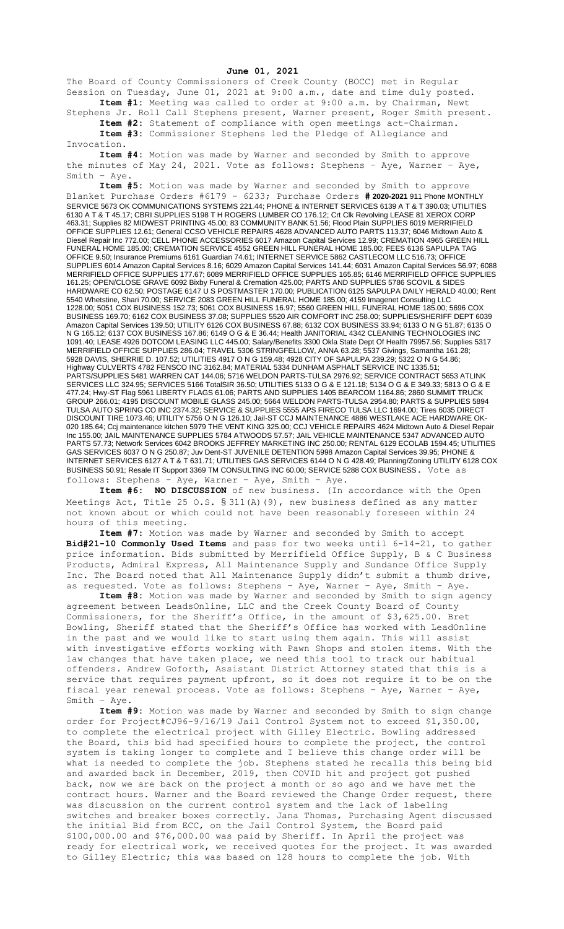## **June 01, 2021**

The Board of County Commissioners of Creek County (BOCC) met in Regular Session on Tuesday, June 01, 2021 at 9:00 a.m., date and time duly posted. **Item #1:** Meeting was called to order at 9:00 a.m. by Chairman, Newt

Stephens Jr. Roll Call Stephens present, Warner present, Roger Smith present. **Item #2:** Statement of compliance with open meetings act-Chairman.

**Item #3:** Commissioner Stephens led the Pledge of Allegiance and Invocation.

**Item #4:** Motion was made by Warner and seconded by Smith to approve the minutes of May 24, 2021. Vote as follows: Stephens – Aye, Warner – Aye, Smith – Aye.

**Item #5:** Motion was made by Warner and seconded by Smith to approve Blanket Purchase Orders #6179 - 6233; Purchase Orders **# 2020-2021** 911 Phone MONTHLY SERVICE 5673 OK COMMUNICATIONS SYSTEMS 221.44; PHONE & INTERNET SERVICES 6139 A T & T 390.03; UTILITIES 6130 A T & T 45.17; CBRI SUPPLIES 5198 T H ROGERS LUMBER CO 176.12; Crt Clk Revolving LEASE 81 XEROX CORP 463.31; Supplies 82 MIDWEST PRINTING 45.00; 83 COMMUNITY BANK 51.56; Flood Plain SUPPLIES 6019 MERRIFIELD OFFICE SUPPLIES 12.61; General CCSO VEHICLE REPAIRS 4628 ADVANCED AUTO PARTS 113.37; 6046 Midtown Auto & Diesel Repair Inc 772.00; CELL PHONE ACCESSORIES 6017 Amazon Capital Services 12.99; CREMATION 4965 GREEN HILL FUNERAL HOME 185.00; CREMATION SERVICE 4552 GREEN HILL FUNERAL HOME 185.00; FEES 6136 SAPULPA TAG OFFICE 9.50; Insurance Premiums 6161 Guardian 74.61; INTERNET SERVICE 5862 CASTLECOM LLC 516.73; OFFICE SUPPLIES 6014 Amazon Capital Services 8.16; 6029 Amazon Capital Services 141.44; 6031 Amazon Capital Services 56.97; 6088 MERRIFIELD OFFICE SUPPLIES 177.67; 6089 MERRIFIELD OFFICE SUPPLIES 165.85; 6146 MERRIFIELD OFFICE SUPPLIES 161.25; OPEN/CLOSE GRAVE 6092 Bixby Funeral & Cremation 425.00; PARTS AND SUPPLIES 5786 SCOVIL & SIDES HARDWARE CO 62.50; POSTAGE 6147 U S POSTMASTER 170.00; PUBLICATION 6125 SAPULPA DAILY HERALD 40.00; Rent 5540 Whetstine, Shari 70.00; SERVICE 2083 GREEN HILL FUNERAL HOME 185.00; 4159 Imagenet Consulting LLC 1228.00; 5051 COX BUSINESS 152.73; 5061 COX BUSINESS 16.97; 5560 GREEN HILL FUNERAL HOME 185.00; 5696 COX BUSINESS 169.70; 6162 COX BUSINESS 37.08; SUPPLIES 5520 AIR COMFORT INC 258.00; SUPPLIES/SHERIFF DEPT 6039 Amazon Capital Services 139.50; UTILITY 6126 COX BUSINESS 67.88; 6132 COX BUSINESS 33.94; 6133 O N G 51.87; 6135 O N G 165.12; 6137 COX BUSINESS 167.86; 6149 O G & E 36.44; Health JANITORIAL 4342 CLEANING TECHNOLOGIES INC 1091.40; LEASE 4926 DOTCOM LEASING LLC 445.00; Salary/Benefits 3300 Okla State Dept Of Health 79957.56; Supplies 5317 MERRIFIELD OFFICE SUPPLIES 286.04; TRAVEL 5306 STRINGFELLOW, ANNA 63.28; 5537 Givings, Samantha 161.28; 5928 DAVIS, SHERRIE D. 107.52; UTILITIES 4917 O N G 159.48; 4928 CITY OF SAPULPA 239.29; 5322 O N G 54.86; Highway CULVERTS 4782 FENSCO INC 3162.84; MATERIAL 5334 DUNHAM ASPHALT SERVICE INC 1335.51; PARTS/SUPPLIES 5481 WARREN CAT 144.06; 5716 WELDON PARTS-TULSA 2976.92; SERVICE CONTRACT 5653 ATLINK SERVICES LLC 324.95; SERVICES 5166 TotalSIR 36.50; UTILITIES 5133 O G & E 121.18; 5134 O G & E 349.33; 5813 O G & E 477.24; Hwy-ST Flag 5961 LIBERTY FLAGS 61.06; PARTS AND SUPPLIES 1405 BEARCOM 1164.86; 2860 SUMMIT TRUCK GROUP 266.01; 4195 DISCOUNT MOBILE GLASS 245.00; 5664 WELDON PARTS-TULSA 2954.80; PARTS & SUPPLIES 5894 TULSA AUTO SPRING CO INC 2374.32; SERVICE & SUPPLIES 5555 APS FIRECO TULSA LLC 1694.00; Tires 6035 DIRECT DISCOUNT TIRE 1073.46; UTILITY 5756 O N G 126.10; Jail-ST CCJ MAINTENANCE 4886 WESTLAKE ACE HARDWARE OK-020 185.64; Ccj maintenance kitchen 5979 THE VENT KING 325.00; CCJ VEHICLE REPAIRS 4624 Midtown Auto & Diesel Repair Inc 155.00; JAIL MAINTENANCE SUPPLIES 5784 ATWOODS 57.57; JAIL VEHICLE MAINTENANCE 5347 ADVANCED AUTO PARTS 57.73; Network Services 6042 BROOKS JEFFREY MARKETING INC 250.00; RENTAL 6129 ECOLAB 1594.45; UTILITIES GAS SERVICES 6037 O N G 250.87; Juv Dent-ST JUVENILE DETENTION 5998 Amazon Capital Services 39.95; PHONE & INTERNET SERVICES 6127 A T & T 631.71; UTILITIES GAS SERVICES 6144 O N G 428.49; Planning/Zoning UTILITY 6128 COX BUSINESS 50.91; Resale IT Support 3369 TM CONSULTING INC 60.00; SERVICE 5288 COX BUSINESS. Vote as follows: Stephens – Aye, Warner – Aye, Smith – Aye.

**Item #6: NO DISCUSSION** of new business. (In accordance with the Open Meetings Act, Title 25 O.S.  $\S 311(A)$  (9), new business defined as any matter not known about or which could not have been reasonably foreseen within 24 hours of this meeting.

**Item #7:** Motion was made by Warner and seconded by Smith to accept **Bid#21-10 Commonly Used Items** and pass for two weeks until 6-14-21, to gather price information. Bids submitted by Merrifield Office Supply, B & C Business Products, Admiral Express, All Maintenance Supply and Sundance Office Supply Inc. The Board noted that All Maintenance Supply didn't submit a thumb drive, as requested. Vote as follows: Stephens – Aye, Warner – Aye, Smith – Aye.

**Item #8:** Motion was made by Warner and seconded by Smith to sign agency agreement between LeadsOnline, LLC and the Creek County Board of County Commissioners, for the Sheriff's Office, in the amount of \$3,625.00. Bret Bowling, Sheriff stated that the Sheriff's Office has worked with LeadOnline in the past and we would like to start using them again. This will assist with investigative efforts working with Pawn Shops and stolen items. With the law changes that have taken place, we need this tool to track our habitual offenders. Andrew Goforth, Assistant District Attorney stated that this is a service that requires payment upfront, so it does not require it to be on the fiscal year renewal process. Vote as follows: Stephens – Aye, Warner – Aye, Smith – Aye.

**Item #9:** Motion was made by Warner and seconded by Smith to sign change order for Project#CJ96-9/16/19 Jail Control System not to exceed \$1,350.00, to complete the electrical project with Gilley Electric. Bowling addressed the Board, this bid had specified hours to complete the project, the control system is taking longer to complete and I believe this change order will be what is needed to complete the job. Stephens stated he recalls this being bid and awarded back in December, 2019, then COVID hit and project got pushed back, now we are back on the project a month or so ago and we have met the contract hours. Warner and the Board reviewed the Change Order request, there was discussion on the current control system and the lack of labeling switches and breaker boxes correctly. Jana Thomas, Purchasing Agent discussed the initial Bid from ECC, on the Jail Control System, the Board paid \$100,000.00 and \$76,000.00 was paid by Sheriff. In April the project was ready for electrical work, we received quotes for the project. It was awarded to Gilley Electric; this was based on 128 hours to complete the job. With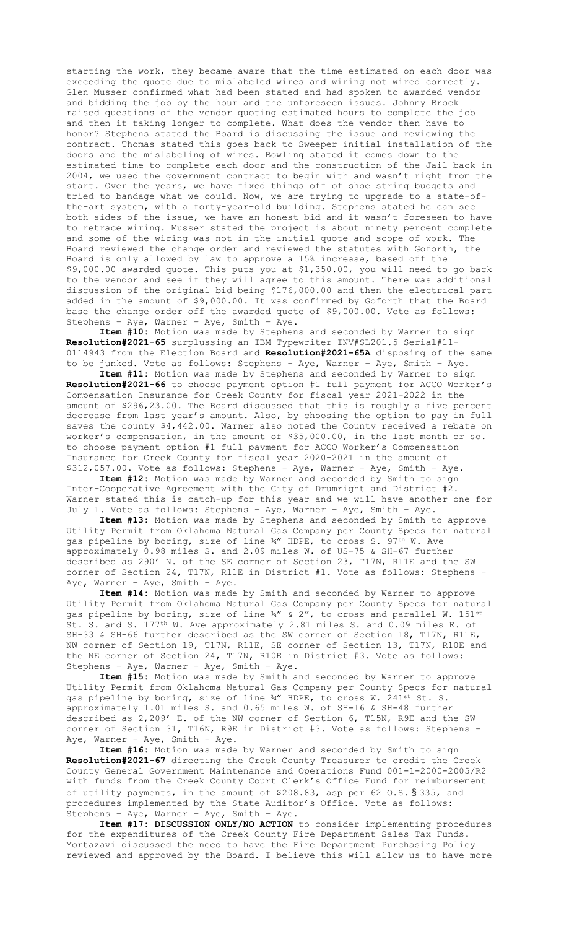starting the work, they became aware that the time estimated on each door was exceeding the quote due to mislabeled wires and wiring not wired correctly. Glen Musser confirmed what had been stated and had spoken to awarded vendor and bidding the job by the hour and the unforeseen issues. Johnny Brock raised questions of the vendor quoting estimated hours to complete the job and then it taking longer to complete. What does the vendor then have to honor? Stephens stated the Board is discussing the issue and reviewing the contract. Thomas stated this goes back to Sweeper initial installation of the doors and the mislabeling of wires. Bowling stated it comes down to the estimated time to complete each door and the construction of the Jail back in 2004, we used the government contract to begin with and wasn't right from the start. Over the years, we have fixed things off of shoe string budgets and tried to bandage what we could. Now, we are trying to upgrade to a state-ofthe-art system, with a forty-year-old building. Stephens stated he can see both sides of the issue, we have an honest bid and it wasn't foreseen to have to retrace wiring. Musser stated the project is about ninety percent complete and some of the wiring was not in the initial quote and scope of work. The Board reviewed the change order and reviewed the statutes with Goforth, the Board is only allowed by law to approve a 15% increase, based off the \$9,000.00 awarded quote. This puts you at \$1,350.00, you will need to go back to the vendor and see if they will agree to this amount. There was additional discussion of the original bid being \$176,000.00 and then the electrical part added in the amount of \$9,000.00. It was confirmed by Goforth that the Board base the change order off the awarded quote of \$9,000.00. Vote as follows: Stephens – Aye, Warner – Aye, Smith – Aye.

**Item #10:** Motion was made by Stephens and seconded by Warner to sign **Resolution#2021-65** surplussing an IBM Typewriter INV#SL201.5 Serial#11- 0114943 from the Election Board and **Resolution#2021-65A** disposing of the same to be junked. Vote as follows: Stephens – Aye, Warner – Aye, Smith – Aye.

**Item #11:** Motion was made by Stephens and seconded by Warner to sign **Resolution#2021-66** to choose payment option #1 full payment for ACCO Worker's Compensation Insurance for Creek County for fiscal year 2021-2022 in the amount of \$296,23.00. The Board discussed that this is roughly a five percent decrease from last year's amount. Also, by choosing the option to pay in full saves the county \$4,442.00. Warner also noted the County received a rebate on worker's compensation, in the amount of \$35,000.00, in the last month or so. to choose payment option #1 full payment for ACCO Worker's Compensation Insurance for Creek County for fiscal year 2020-2021 in the amount of \$312,057.00. Vote as follows: Stephens – Aye, Warner – Aye, Smith – Aye.

**Item #12:** Motion was made by Warner and seconded by Smith to sign Inter-Cooperative Agreement with the City of Drumright and District #2. Warner stated this is catch-up for this year and we will have another one for July 1. Vote as follows: Stephens – Aye, Warner – Aye, Smith – Aye.

**Item #13:** Motion was made by Stephens and seconded by Smith to approve Utility Permit from Oklahoma Natural Gas Company per County Specs for natural gas pipeline by boring, size of line 34" HDPE, to cross S. 97<sup>th</sup> W. Ave approximately 0.98 miles S. and 2.09 miles W. of US-75 & SH-67 further described as 290' N. of the SE corner of Section 23, T17N, R11E and the SW corner of Section 24, T17N, R11E in District #1. Vote as follows: Stephens – Aye, Warner – Aye, Smith – Aye.

**Item #14:** Motion was made by Smith and seconded by Warner to approve Utility Permit from Oklahoma Natural Gas Company per County Specs for natural gas pipeline by boring, size of line  $\frac{3q}{4}$  & 2", to cross and parallel W. 151st St. S. and S. 177th W. Ave approximately 2.81 miles S. and 0.09 miles E. of SH-33 & SH-66 further described as the SW corner of Section 18, T17N, R11E, NW corner of Section 19, T17N, R11E, SE corner of Section 13, T17N, R10E and the NE corner of Section 24, T17N, R10E in District #3. Vote as follows: Stephens – Aye, Warner – Aye, Smith – Aye.

**Item #15:** Motion was made by Smith and seconded by Warner to approve Utility Permit from Oklahoma Natural Gas Company per County Specs for natural gas pipeline by boring, size of line ¾" HDPE, to cross W. 241<sup>st</sup> St. S. approximately 1.01 miles S. and 0.65 miles W. of SH-16 & SH-48 further described as 2,209' E. of the NW corner of Section 6, T15N, R9E and the SW corner of Section 31, T16N, R9E in District #3. Vote as follows: Stephens – Aye, Warner – Aye, Smith – Aye.

**Item #16:** Motion was made by Warner and seconded by Smith to sign **Resolution#2021-67** directing the Creek County Treasurer to credit the Creek County General Government Maintenance and Operations Fund 001-1-2000-2005/R2 with funds from the Creek County Court Clerk's Office Fund for reimbursement of utility payments, in the amount of \$208.83, asp per 62 O.S. § 335, and procedures implemented by the State Auditor's Office. Vote as follows: Stephens – Aye, Warner – Aye, Smith – Aye.

**Item #17: DISCUSSION ONLY/NO ACTION** to consider implementing procedures for the expenditures of the Creek County Fire Department Sales Tax Funds. Mortazavi discussed the need to have the Fire Department Purchasing Policy reviewed and approved by the Board. I believe this will allow us to have more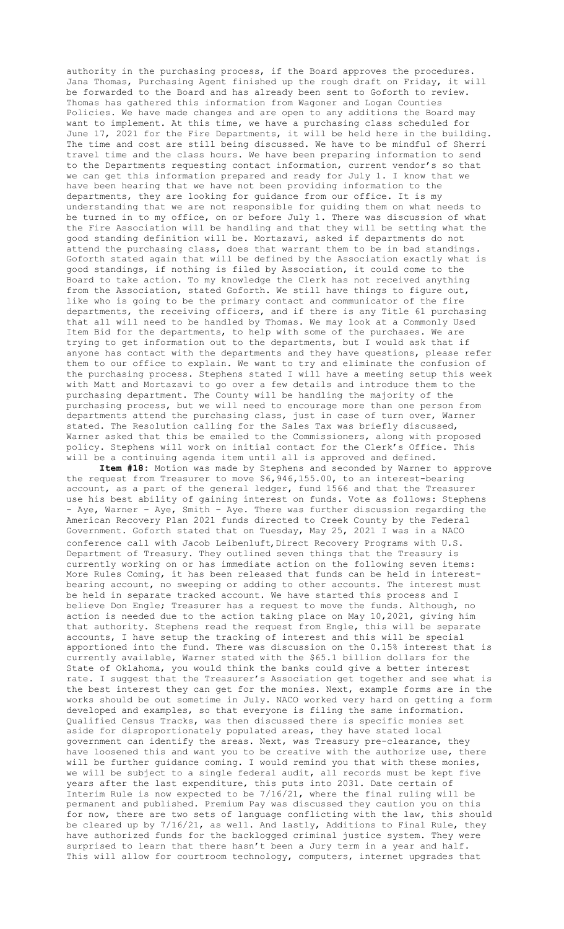authority in the purchasing process, if the Board approves the procedures. Jana Thomas, Purchasing Agent finished up the rough draft on Friday, it will be forwarded to the Board and has already been sent to Goforth to review. Thomas has gathered this information from Wagoner and Logan Counties Policies. We have made changes and are open to any additions the Board may want to implement. At this time, we have a purchasing class scheduled for June 17, 2021 for the Fire Departments, it will be held here in the building. The time and cost are still being discussed. We have to be mindful of Sherri travel time and the class hours. We have been preparing information to send to the Departments requesting contact information, current vendor's so that we can get this information prepared and ready for July 1. I know that we have been hearing that we have not been providing information to the departments, they are looking for guidance from our office. It is my understanding that we are not responsible for guiding them on what needs to be turned in to my office, on or before July 1. There was discussion of what the Fire Association will be handling and that they will be setting what the good standing definition will be. Mortazavi, asked if departments do not attend the purchasing class, does that warrant them to be in bad standings. Goforth stated again that will be defined by the Association exactly what is good standings, if nothing is filed by Association, it could come to the Board to take action. To my knowledge the Clerk has not received anything from the Association, stated Goforth. We still have things to figure out, like who is going to be the primary contact and communicator of the fire departments, the receiving officers, and if there is any Title 61 purchasing that all will need to be handled by Thomas. We may look at a Commonly Used Item Bid for the departments, to help with some of the purchases. We are trying to get information out to the departments, but I would ask that if anyone has contact with the departments and they have questions, please refer them to our office to explain. We want to try and eliminate the confusion of the purchasing process. Stephens stated I will have a meeting setup this week with Matt and Mortazavi to go over a few details and introduce them to the purchasing department. The County will be handling the majority of the purchasing process, but we will need to encourage more than one person from departments attend the purchasing class, just in case of turn over, Warner stated. The Resolution calling for the Sales Tax was briefly discussed, Warner asked that this be emailed to the Commissioners, along with proposed policy. Stephens will work on initial contact for the Clerk's Office. This will be a continuing agenda item until all is approved and defined.

**Item #18:** Motion was made by Stephens and seconded by Warner to approve the request from Treasurer to move \$6,946,155.00, to an interest-bearing account, as a part of the general ledger, fund 1566 and that the Treasurer use his best ability of gaining interest on funds. Vote as follows: Stephens – Aye, Warner – Aye, Smith – Aye. There was further discussion regarding the American Recovery Plan 2021 funds directed to Creek County by the Federal Government. Goforth stated that on Tuesday, May 25, 2021 I was in a NACO conference call with Jacob Leibenluft, Direct Recovery Programs with U.S. Department of Treasury. They outlined seven things that the Treasury is currently working on or has immediate action on the following seven items: More Rules Coming, it has been released that funds can be held in interestbearing account, no sweeping or adding to other accounts. The interest must be held in separate tracked account. We have started this process and I believe Don Engle; Treasurer has a request to move the funds. Although, no action is needed due to the action taking place on May 10,2021, giving him that authority. Stephens read the request from Engle, this will be separate accounts, I have setup the tracking of interest and this will be special apportioned into the fund. There was discussion on the 0.15% interest that is currently available, Warner stated with the \$65.1 billion dollars for the State of Oklahoma, you would think the banks could give a better interest rate. I suggest that the Treasurer's Association get together and see what is the best interest they can get for the monies. Next, example forms are in the works should be out sometime in July. NACO worked very hard on getting a form developed and examples, so that everyone is filing the same information. Qualified Census Tracks, was then discussed there is specific monies set aside for disproportionately populated areas, they have stated local government can identify the areas. Next, was Treasury pre-clearance, they have loosened this and want you to be creative with the authorize use, there will be further guidance coming. I would remind you that with these monies, we will be subject to a single federal audit, all records must be kept five years after the last expenditure, this puts into 2031. Date certain of Interim Rule is now expected to be 7/16/21, where the final ruling will be permanent and published. Premium Pay was discussed they caution you on this for now, there are two sets of language conflicting with the law, this should be cleared up by 7/16/21, as well. And lastly, Additions to Final Rule, they have authorized funds for the backlogged criminal justice system. They were surprised to learn that there hasn't been a Jury term in a year and half. This will allow for courtroom technology, computers, internet upgrades that